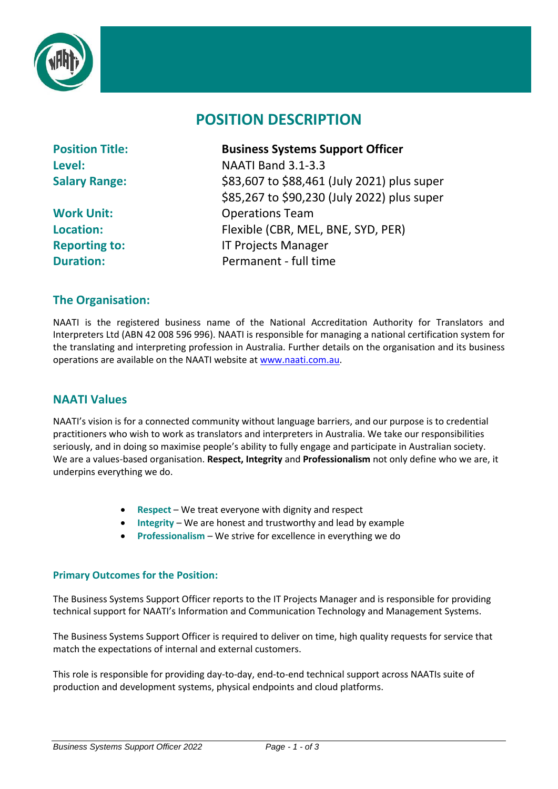

# **POSITION DESCRIPTION**

**Position Title: Business Systems Support Officer Level:** NAATI Band 3.1-3.3 **Salary Range:** \$83,607 to \$88,461 (July 2021) plus super \$85,267 to \$90,230 (July 2022) plus super **Work Unit:** Operations Team **Location:** Flexible (CBR, MEL, BNE, SYD, PER) **Reporting to:** IT Projects Manager **Duration:** Permanent - full time

# **The Organisation:**

NAATI is the registered business name of the National Accreditation Authority for Translators and Interpreters Ltd (ABN 42 008 596 996). NAATI is responsible for managing a national certification system for the translating and interpreting profession in Australia. Further details on the organisation and its business operations are available on the NAATI website a[t www.naati.com.au.](http://www.naati.com.au/)

# **NAATI Values**

NAATI's vision is for a connected community without language barriers, and our purpose is to credential practitioners who wish to work as translators and interpreters in Australia. We take our responsibilities seriously, and in doing so maximise people's ability to fully engage and participate in Australian society. We are a values-based organisation. **Respect, Integrity** and **Professionalism** not only define who we are, it underpins everything we do.

- **Respect**  We treat everyone with dignity and respect
- **Integrity** We are honest and trustworthy and lead by example
- **Professionalism** We strive for excellence in everything we do

#### **Primary Outcomes for the Position:**

The Business Systems Support Officer reports to the IT Projects Manager and is responsible for providing technical support for NAATI's Information and Communication Technology and Management Systems.

The Business Systems Support Officer is required to deliver on time, high quality requests for service that match the expectations of internal and external customers.

This role is responsible for providing day-to-day, end-to-end technical support across NAATIs suite of production and development systems, physical endpoints and cloud platforms.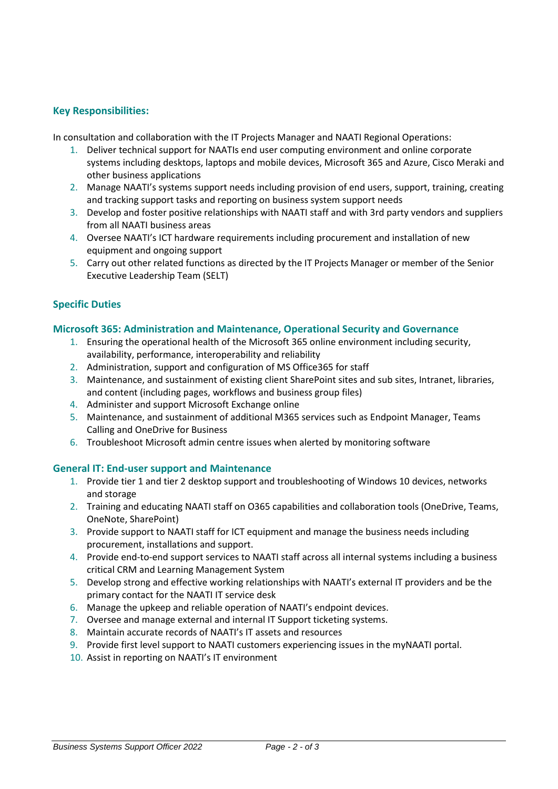# **Key Responsibilities:**

In consultation and collaboration with the IT Projects Manager and NAATI Regional Operations:

- 1. Deliver technical support for NAATIs end user computing environment and online corporate systems including desktops, laptops and mobile devices, Microsoft 365 and Azure, Cisco Meraki and other business applications
- 2. Manage NAATI's systems support needs including provision of end users, support, training, creating and tracking support tasks and reporting on business system support needs
- 3. Develop and foster positive relationships with NAATI staff and with 3rd party vendors and suppliers from all NAATI business areas
- 4. Oversee NAATI's ICT hardware requirements including procurement and installation of new equipment and ongoing support
- 5. Carry out other related functions as directed by the IT Projects Manager or member of the Senior Executive Leadership Team (SELT)

## **Specific Duties**

#### **Microsoft 365: Administration and Maintenance, Operational Security and Governance**

- 1. Ensuring the operational health of the Microsoft 365 online environment including security, availability, performance, interoperability and reliability
- 2. Administration, support and configuration of MS Office365 for staff
- 3. Maintenance, and sustainment of existing client SharePoint sites and sub sites, Intranet, libraries, and content (including pages, workflows and business group files)
- 4. Administer and support Microsoft Exchange online
- 5. Maintenance, and sustainment of additional M365 services such as Endpoint Manager, Teams Calling and OneDrive for Business
- 6. Troubleshoot Microsoft admin centre issues when alerted by monitoring software

## **General IT: End-user support and Maintenance**

- 1. Provide tier 1 and tier 2 desktop support and troubleshooting of Windows 10 devices, networks and storage
- 2. Training and educating NAATI staff on O365 capabilities and collaboration tools (OneDrive, Teams, OneNote, SharePoint)
- 3. Provide support to NAATI staff for ICT equipment and manage the business needs including procurement, installations and support.
- 4. Provide end-to-end support services to NAATI staff across all internal systems including a business critical CRM and Learning Management System
- 5. Develop strong and effective working relationships with NAATI's external IT providers and be the primary contact for the NAATI IT service desk
- 6. Manage the upkeep and reliable operation of NAATI's endpoint devices.
- 7. Oversee and manage external and internal IT Support ticketing systems.
- 8. Maintain accurate records of NAATI's IT assets and resources
- 9. Provide first level support to NAATI customers experiencing issues in the myNAATI portal.
- 10. Assist in reporting on NAATI's IT environment